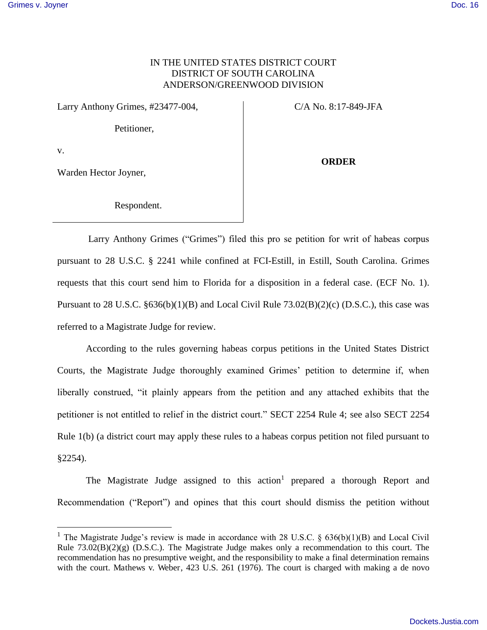## IN THE UNITED STATES DISTRICT COURT DISTRICT OF SOUTH CAROLINA ANDERSON/GREENWOOD DIVISION

Larry Anthony Grimes, #23477-004, C/A No. 8:17-849-JFA

Petitioner,

v.

 $\overline{a}$ 

Warden Hector Joyner,

**ORDER** 

Respondent.

 Larry Anthony Grimes ("Grimes") filed this pro se petition for writ of habeas corpus pursuant to 28 U.S.C. § 2241 while confined at FCI-Estill, in Estill, South Carolina. Grimes requests that this court send him to Florida for a disposition in a federal case. (ECF No. 1). Pursuant to 28 U.S.C. §636(b)(1)(B) and Local Civil Rule 73.02(B)(2)(c) (D.S.C.), this case was referred to a Magistrate Judge for review.

According to the rules governing habeas corpus petitions in the United States District Courts, the Magistrate Judge thoroughly examined Grimes' petition to determine if, when liberally construed, "it plainly appears from the petition and any attached exhibits that the petitioner is not entitled to relief in the district court." SECT 2254 Rule 4; see also SECT 2254 Rule 1(b) (a district court may apply these rules to a habeas corpus petition not filed pursuant to §2254).

The Magistrate Judge assigned to this action<sup>1</sup> prepared a thorough Report and Recommendation ("Report") and opines that this court should dismiss the petition without

<sup>&</sup>lt;sup>1</sup> The Magistrate Judge's review is made in accordance with 28 U.S.C. §  $636(b)(1)(B)$  and Local Civil Rule 73.02(B)(2)(g) (D.S.C.). The Magistrate Judge makes only a recommendation to this court. The recommendation has no presumptive weight, and the responsibility to make a final determination remains with the court. Mathews v. Weber, 423 U.S. 261 (1976). The court is charged with making a de novo